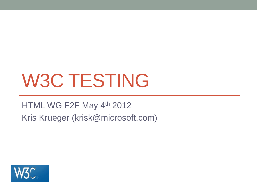# W3C TESTING

### HTML WG F2F May 4th 2012 Kris Krueger (krisk@microsoft.com)

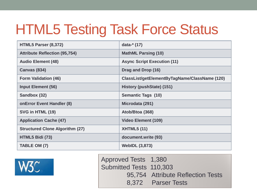### HTML5 Testing Task Force Status

| HTML5 Parser (8,372)                   | data-* (17)                                   |
|----------------------------------------|-----------------------------------------------|
| <b>Attribute Reflection (95,754)</b>   | <b>MathML Parsing (10)</b>                    |
| <b>Audio Element (48)</b>              | <b>Async Script Execution (11)</b>            |
| <b>Canvas (834)</b>                    | Drag and Drop (16)                            |
| <b>Form Validation (46)</b>            | ClassList/getElementByTagName/ClassName (120) |
| <b>Input Element (56)</b>              | History (pushState) (151)                     |
| Sandbox (32)                           | <b>Semantic Tags (10)</b>                     |
| <b>onError Event Handler (8)</b>       | Microdata (291)                               |
| SVG in HTML (19)                       | Atob/Btoa (368)                               |
| <b>Application Cache (47)</b>          | <b>Video Element (109)</b>                    |
| <b>Structured Clone Algorithm (27)</b> | <b>XHTML5 (11)</b>                            |
| HTML5 Bidi (73)                        | document.write (93)                           |
| TABLE OM (7)                           | <b>WebIDL (3,873)</b>                         |



Approved Tests 1,380 Submitted Tests 110,303 95,754 Attribute Reflection Tests 8,372 Parser Tests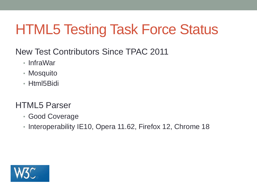## HTML5 Testing Task Force Status

- New Test Contributors Since TPAC 2011
	- InfraWar
	- Mosquito
	- Html5Bidi

### HTML5 Parser

- Good Coverage
- Interoperability IE10, Opera 11.62, Firefox 12, Chrome 18

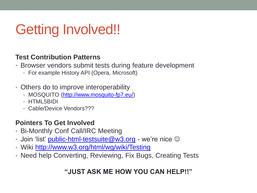## Getting Involved!!

#### **Test Contribution Patterns**

- Browser vendors submit tests during feature development
	- For example History API (Opera, Microsoft)
- Others do to improve interoperability
	- MOSQUITO (<http://www.mosquito-fp7.eu/>)
	- HTML5BIDI
	- Cable/Device Vendors???

#### **Pointers To Get Involved**

- Bi-Monthly Conf Call/IRC Meeting
- Join 'list' [public-html-testsuite@w3.org](mailto:public-html-testsuite@w3.org) we're nice  $\odot$
- Wiki <http://www.w3.org/html/wg/wiki/Testing>
- Need help Converting, Reviewing, Fix Bugs, Creating Tests

#### **"JUST ASK ME HOW YOU CAN HELP!!"**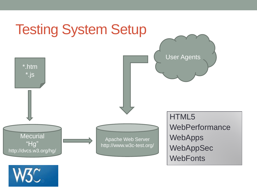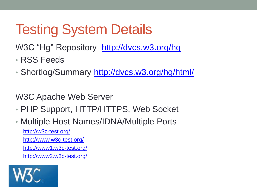## Testing System Details

W3C "Hg" Repository <http://dvcs.w3.org/hg>

- RSS Feeds
- Shortlog/Summary <http://dvcs.w3.org/hg/html/>

W3C Apache Web Server

- PHP Support, HTTP/HTTPS, Web Socket
- Multiple Host Names/IDNA/Multiple Ports <http://w3c-test.org/> <http://www.w3c-test.org/> <http://www1.w3c-test.org/> <http://www2.w3c-test.org/>

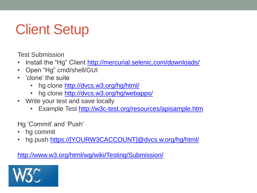## Client Setup

Test Submission

- Install the "Hg" Client <http://mercurial.selenic.com/downloads/>
- Open "Hg" cmd/shell/GUI
- 'clone' the suite
	- hg clone <http://dvcs.w3.org/hg/html/>
	- hg clone <http://dvcs.w3.org/hg/webapps/>
- Write your test and save locally
	- Example Test<http://w3c-test.org/resources/apisample.htm>

Hg 'Commit' and 'Push'

- hg commit
- hg push [https://\[YOURW3CACCOUNT\]@dvcs.w.org/hg/html/](https://[YOURW3CACCOUNT]@dvcs.w.org/hg/html/)

<http://www.w3.org/html/wg/wiki/Testing/Submission/>